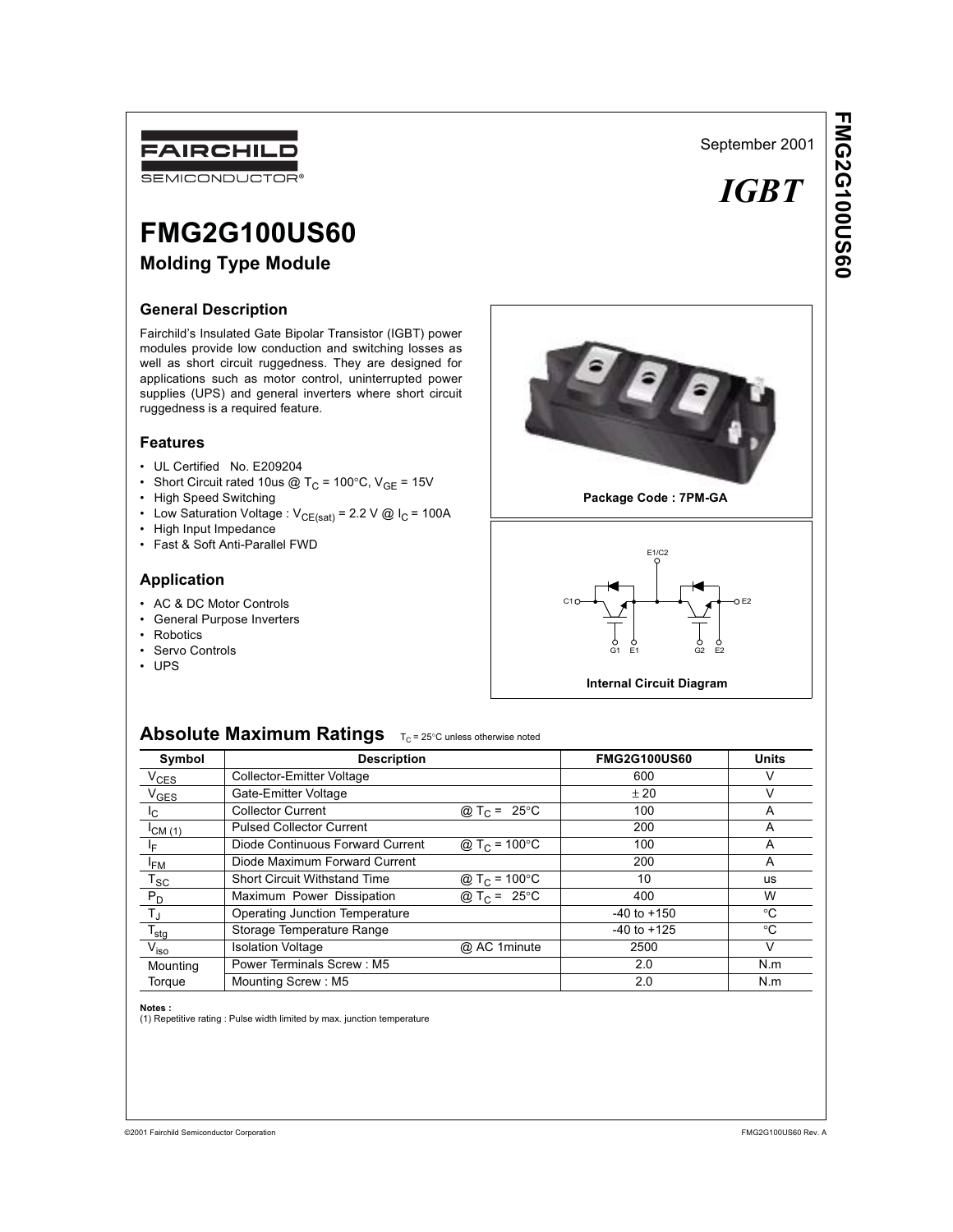# FAIRCHILD

SEMICONDUCTOR<sup>®</sup>

# **FMG2G100US60**

# **Molding Type Module**

# **General Description**

Fairchild's Insulated Gate Bipolar Transistor (IGBT) power modules provide low conduction and switching losses as well as short circuit ruggedness. They are designed for applications such as motor control, uninterrupted power supplies (UPS) and general inverters where short circuit ruggedness is a required feature.

### **Features**

- UL Certified No. E209204
- Short Circuit rated 10us @ T<sub>C</sub> = 100°C,  $V_{GE}$  = 15V
- High Speed Switching
- Low Saturation Voltage :  $V_{CE(sat)} = 2.2 V \text{ @ } I_C = 100A$
- High Input Impedance
- Fast & Soft Anti-Parallel FWD

# **Application**

- AC & DC Motor Controls
- General Purpose Inverters
- Robotics
- Servo Controls
- UPS



**Package Code : 7PM-GA**



**Internal Circuit Diagram**

# **Absolute Maximum Ratings**  $T_C = 25^{\circ}C$  unless otherwise noted

| Symbol                    | <b>Description</b>                  |                           | <b>FMG2G100US60</b> | <b>Units</b> |
|---------------------------|-------------------------------------|---------------------------|---------------------|--------------|
| $V_{CES}$                 | <b>Collector-Emitter Voltage</b>    |                           | 600                 | V            |
| V <sub>GES</sub>          | Gate-Emitter Voltage                |                           | ± 20                | $\vee$       |
| I <sub>C</sub>            | <b>Collector Current</b>            | @ T <sub>C</sub> = 25 °C  | 100                 | A            |
| ICM(1)                    | <b>Pulsed Collector Current</b>     |                           | 200                 | A            |
| ΙF                        | Diode Continuous Forward Current    | @ T <sub>C</sub> = 100 °C | 100                 | A            |
| <sup>I</sup> FM           | Diode Maximum Forward Current       |                           | 200                 | A            |
| $T_{SC}$                  | <b>Short Circuit Withstand Time</b> | @ T <sub>C</sub> = 100 °C | 10                  | <b>US</b>    |
| $P_D$                     | Maximum Power Dissipation           | @ T <sub>C</sub> = 25 °C  | 400                 | W            |
| $\mathsf{T}_{\mathsf{J}}$ | Operating Junction Temperature      |                           | $-40$ to $+150$     | $^{\circ}C$  |
| $T_{\text{stg}}$          | Storage Temperature Range           |                           | $-40$ to $+125$     | $^{\circ}C$  |
| $V_{\text{iso}}$          | <b>Isolation Voltage</b>            | @ AC 1 minute             | 2500                | $\vee$       |
| Mounting                  | Power Terminals Screw: M5           |                           | 2.0                 | N.m          |
| Torque                    | Mounting Screw: M5                  |                           | 2.0                 | N.m          |

**Notes :**<br>(1) Repetitive rating : Pulse width limited by max. junction temperature

 *IGBT*

September 2001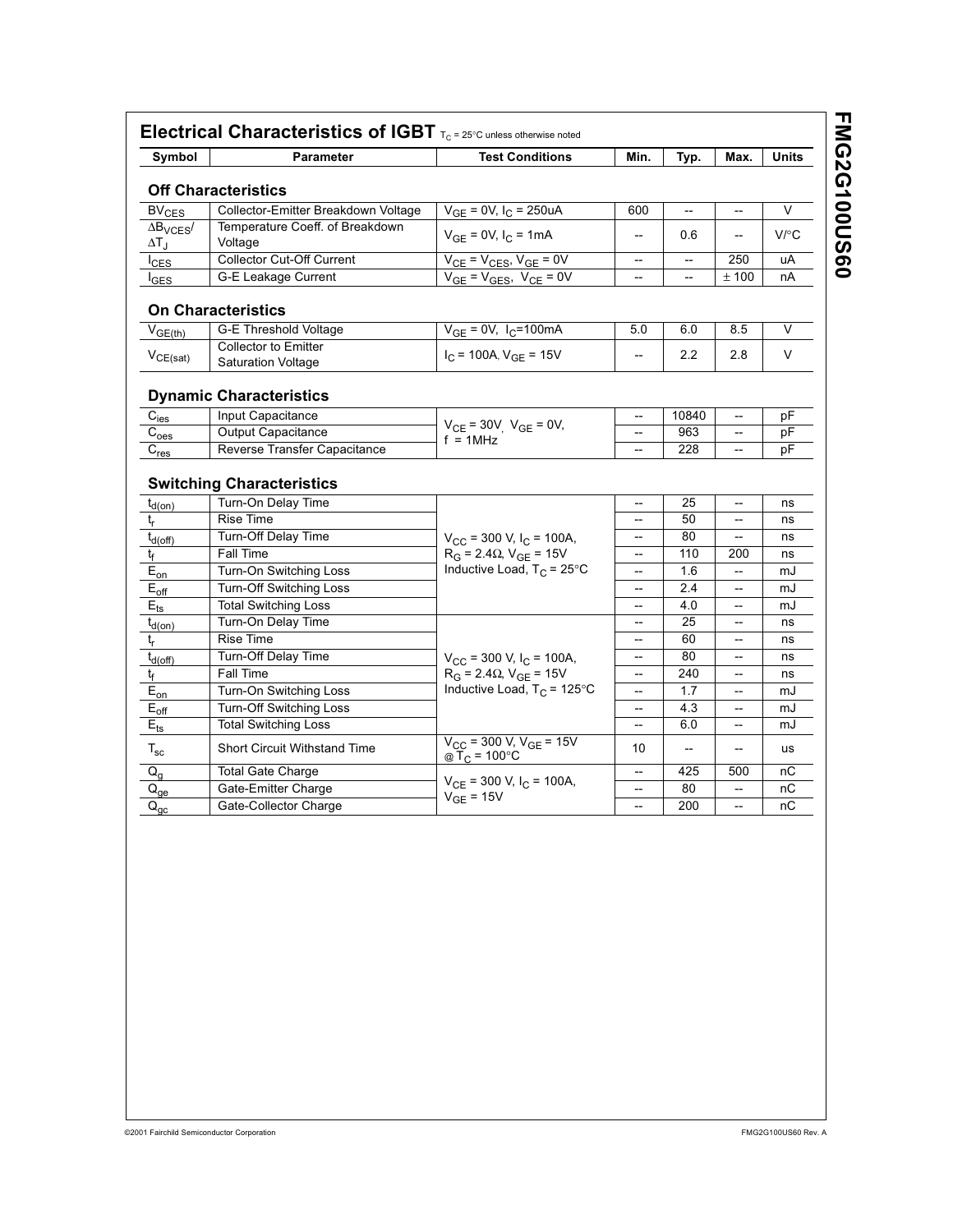| Symbol                                                                                                                                                                                                                                                                                          | <b>Parameter</b>                                         | <b>Test Conditions</b>                                                       | Min.                                                | Typ.                     | Max.                     | <b>Units</b> |
|-------------------------------------------------------------------------------------------------------------------------------------------------------------------------------------------------------------------------------------------------------------------------------------------------|----------------------------------------------------------|------------------------------------------------------------------------------|-----------------------------------------------------|--------------------------|--------------------------|--------------|
|                                                                                                                                                                                                                                                                                                 | <b>Off Characteristics</b>                               |                                                                              |                                                     |                          |                          |              |
| $BV_{CES}$                                                                                                                                                                                                                                                                                      | Collector-Emitter Breakdown Voltage                      | $V_{GE}$ = 0V, $I_C$ = 250uA                                                 | 600                                                 |                          |                          | V            |
| $\Delta B_{\text{VCES}}$<br>$\Delta T_{\rm J}$                                                                                                                                                                                                                                                  | Temperature Coeff. of Breakdown<br>Voltage               | $V_{GE} = 0V$ , $I_C = 1mA$                                                  | --                                                  | 0.6                      | $\overline{\phantom{0}}$ | V/C          |
| $I_{\text{CES}}$                                                                                                                                                                                                                                                                                | <b>Collector Cut-Off Current</b>                         | $V_{CE}$ = $V_{CES}$ , $V_{GE}$ = 0V                                         | $\overline{\phantom{a}}$                            | $\overline{\phantom{a}}$ | 250                      | uA           |
| $I_{\text{GES}}$                                                                                                                                                                                                                                                                                | <b>G-E Leakage Current</b>                               | $V_{GE} = V_{GES}$ , $V_{CE} = 0V$                                           | $\overline{\phantom{a}}$                            | $\overline{a}$           | ± 100                    | nA           |
|                                                                                                                                                                                                                                                                                                 | <b>On Characteristics</b>                                |                                                                              |                                                     |                          |                          |              |
| $V_{GE(th)}$                                                                                                                                                                                                                                                                                    | <b>G-E Threshold Voltage</b>                             | $V_{GE} = 0V$ , I <sub>C</sub> =100mA                                        | 5.0                                                 | 6.0                      | 8.5                      | V            |
| $V_{CE(sat)}$                                                                                                                                                                                                                                                                                   | <b>Collector to Emitter</b><br><b>Saturation Voltage</b> | $I_C$ = 100A, $V_{GE}$ = 15V                                                 | $\overline{\phantom{0}}$                            | 2.2                      | 2.8                      | V            |
|                                                                                                                                                                                                                                                                                                 | <b>Dynamic Characteristics</b>                           |                                                                              |                                                     |                          |                          |              |
| $C_{i e\underline{s}}$                                                                                                                                                                                                                                                                          | Input Capacitance                                        |                                                                              | $\qquad \qquad -$                                   | 10840                    | --                       | рF           |
| C <sub>oes</sub>                                                                                                                                                                                                                                                                                | <b>Output Capacitance</b>                                | $V_{CE}$ = 30V <sub>,</sub> $V_{GE}$ = 0V,                                   | $\overline{\phantom{a}}$                            | 963                      | $\overline{\phantom{a}}$ | рF           |
| $C_{res}$                                                                                                                                                                                                                                                                                       | Reverse Transfer Capacitance                             | $f = 1MHz$                                                                   | --                                                  | 228                      | --                       | pF           |
|                                                                                                                                                                                                                                                                                                 | <b>Switching Characteristics</b><br>Turn-On Delay Time   |                                                                              | $\overline{a}$                                      | 25                       | --                       | ns           |
|                                                                                                                                                                                                                                                                                                 |                                                          |                                                                              |                                                     |                          |                          |              |
|                                                                                                                                                                                                                                                                                                 | <b>Rise Time</b>                                         |                                                                              | --                                                  | 50                       | --                       | ns           |
|                                                                                                                                                                                                                                                                                                 | <b>Turn-Off Delay Time</b>                               |                                                                              | --                                                  | 80                       | --                       | ns           |
|                                                                                                                                                                                                                                                                                                 | Fall Time                                                | $V_{CC}$ = 300 V, $I_C$ = 100A,<br>$R_G = 2.4 \Omega$ , $V_{GE} = 15V$       | --                                                  | 110                      | 200                      | ns           |
|                                                                                                                                                                                                                                                                                                 | Turn-On Switching Loss                                   | Inductive Load, $T_C = 25^{\circ}C$                                          | $\hspace{0.05cm} -\hspace{0.05cm} -\hspace{0.05cm}$ | 1.6                      | --                       | mJ           |
|                                                                                                                                                                                                                                                                                                 | <b>Turn-Off Switching Loss</b>                           |                                                                              | $\overline{a}$                                      | 2.4                      | $-$                      | mJ           |
|                                                                                                                                                                                                                                                                                                 | <b>Total Switching Loss</b>                              |                                                                              |                                                     | 4.0                      | --                       | mJ           |
|                                                                                                                                                                                                                                                                                                 | Turn-On Delay Time                                       |                                                                              | $\overline{\phantom{a}}$                            | 25                       | --                       | ns           |
|                                                                                                                                                                                                                                                                                                 | <b>Rise Time</b>                                         |                                                                              | --                                                  | 60                       | --                       | ns           |
|                                                                                                                                                                                                                                                                                                 | Turn-Off Delay Time                                      |                                                                              | $\overline{a}$                                      | 80                       | --                       | ns           |
|                                                                                                                                                                                                                                                                                                 | Fall Time                                                | $V_{CC}$ = 300 V, $I_C$ = 100A,                                              | --                                                  | 240                      | --                       | ns           |
|                                                                                                                                                                                                                                                                                                 | Turn-On Switching Loss                                   | $R_G = 2.4 \Omega$ , $V_{GE} = 15 V$<br>Inductive Load, $T_C = 125^{\circ}C$ | --                                                  | 1.7                      | --                       | mJ           |
|                                                                                                                                                                                                                                                                                                 | <b>Turn-Off Switching Loss</b>                           |                                                                              | $\overline{a}$                                      | 4.3                      | --                       | mJ           |
|                                                                                                                                                                                                                                                                                                 | <b>Total Switching Loss</b>                              |                                                                              | --                                                  | 6.0                      | --                       | mJ           |
|                                                                                                                                                                                                                                                                                                 | <b>Short Circuit Withstand Time</b>                      | $V_{CC}$ = 300 V, $V_{GE}$ = 15V<br>@ $\widetilde{T}_C$ = 100 °C             | 10                                                  | $\overline{\phantom{a}}$ | --                       | <b>us</b>    |
|                                                                                                                                                                                                                                                                                                 | <b>Total Gate Charge</b>                                 |                                                                              |                                                     | 425                      | 500                      | nC           |
| $t_{d(on)}$<br>t <sub>r</sub><br>$t_{d(Off)}$<br>t <sub>f</sub><br>$E_{on}$<br>$E_{\text{off}}$<br>$E_{\mathsf{ts}}$<br>$t_{d(on)}$<br>$t_r$<br>$t_{d(off)}$<br>t <sub>f</sub><br>$E_{\text{on}}$<br>$E_{\text{off}}$<br>$\mathsf{E}_{\mathsf{ts}}$<br>$T_{\rm sc}$<br>$Q_{\alpha}$<br>$Q_{ge}$ | Gate-Emitter Charge                                      | $V_{CE}$ = 300 V, $I_C$ = 100A,<br>$V_{GE}$ = 15V                            | $\hspace{0.05cm} \dashrightarrow$                   | 80                       | --                       | nC           |

**FMG2G100US60 FMG2G100US60**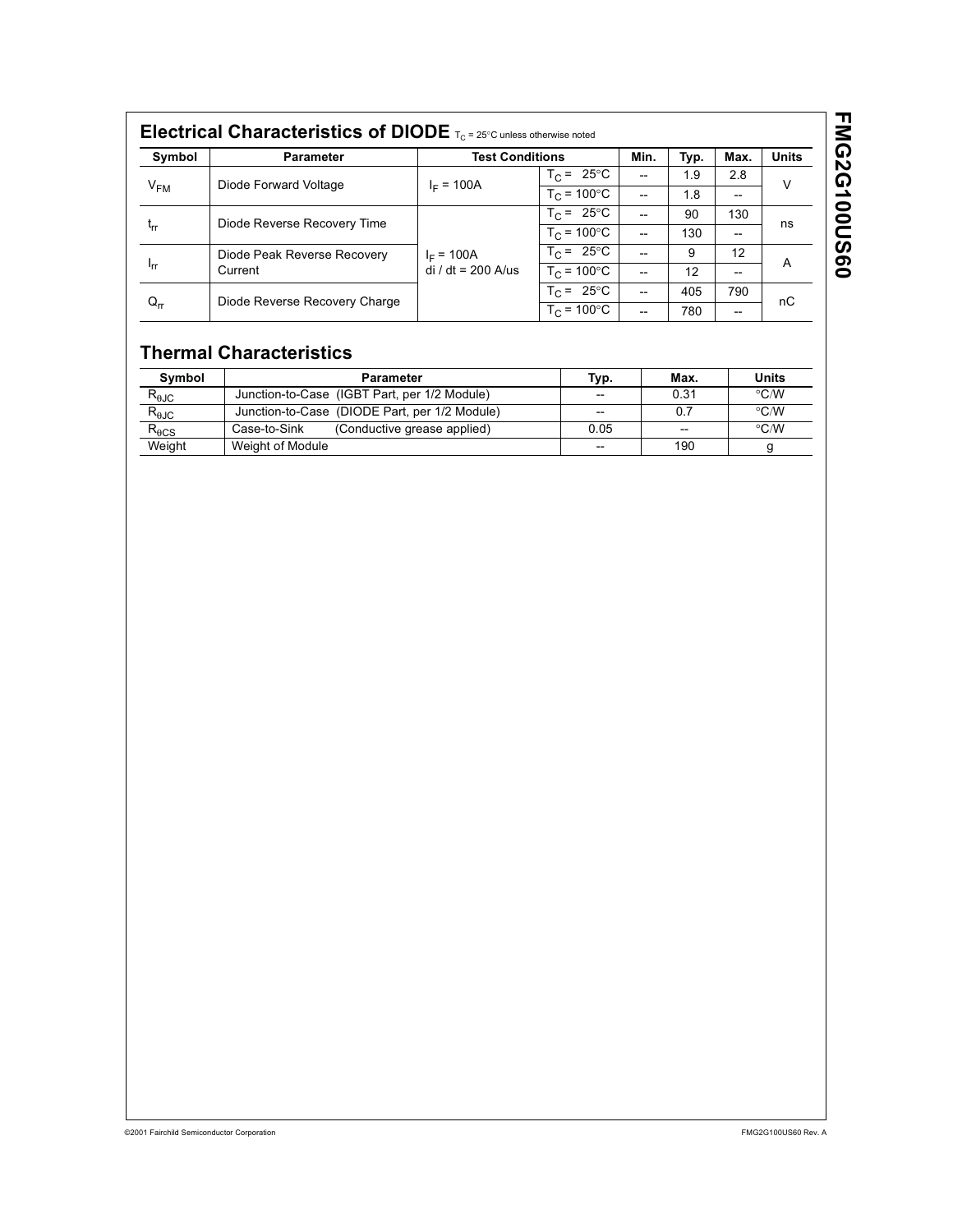| Symbol      | <b>Parameter</b>              | <b>Test Conditions</b>             |                      | Min. | Typ. | Max.              | <b>Units</b> |
|-------------|-------------------------------|------------------------------------|----------------------|------|------|-------------------|--------------|
| $V_{FM}$    | Diode Forward Voltage         |                                    | $T_C = 25^{\circ}C$  | --   | 1.9  | 2.8               | v            |
|             |                               | $I_F = 100A$                       | $T_C = 100^{\circ}C$ |      | 1.8  | $\hspace{0.05cm}$ |              |
|             | Diode Reverse Recovery Time   |                                    | $T_C = 25^{\circ}C$  |      | 90   | 130               |              |
| $t_{rr}$    |                               |                                    | $T_C = 100^{\circ}C$ | --   | 130  | $\hspace{0.05cm}$ | ns           |
|             | Diode Peak Reverse Recovery   | $I_F = 100A$<br>$di/dt = 200$ A/us | $T_C = 25^{\circ}C$  |      | 9    | 12                | A            |
| <b>I</b> rr | Current                       |                                    | $T_c = 100^{\circ}C$ |      | 12   | --                |              |
| $Q_{rr}$    | Diode Reverse Recovery Charge |                                    | $T_C = 25^{\circ}C$  |      | 405  | 790               | пC           |
|             |                               |                                    | $T_c = 100^{\circ}C$ |      | 780  | $- -$             |              |

# **Thermal Characteristics**

| Symbol          | <b>Parameter</b>                              | Typ.  | Max. | Units              |
|-----------------|-----------------------------------------------|-------|------|--------------------|
| $R_{\theta$ JC  | Junction-to-Case (IGBT Part, per 1/2 Module)  | $-$   | 0.31 | $\rm ^{\circ}$ C/W |
| $R_{\theta JC}$ | Junction-to-Case (DIODE Part, per 1/2 Module) | $- -$ | 0.7  | $\rm ^{\circ}$ C/W |
| $R_{\theta CS}$ | (Conductive grease applied)<br>Case-to-Sink   | 0.05  | --   | $\rm ^{\circ}$ C/W |
| Weight          | Weight of Module                              | $- -$ | 190  |                    |

# **FMG2G100US60 FMG2G100US60**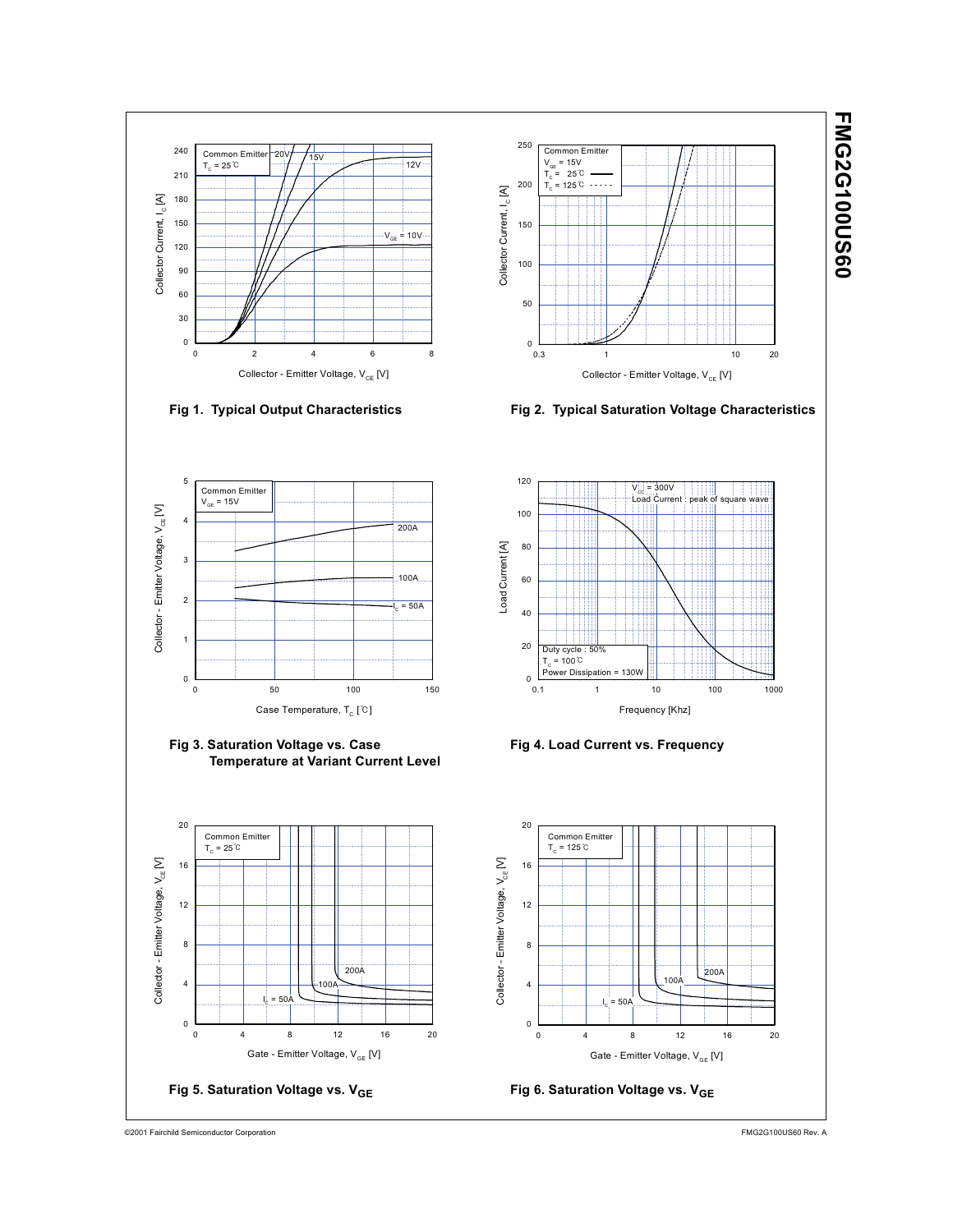

©2001 Fairchild Semiconductor Corporation FMG2G100US60 Rev. A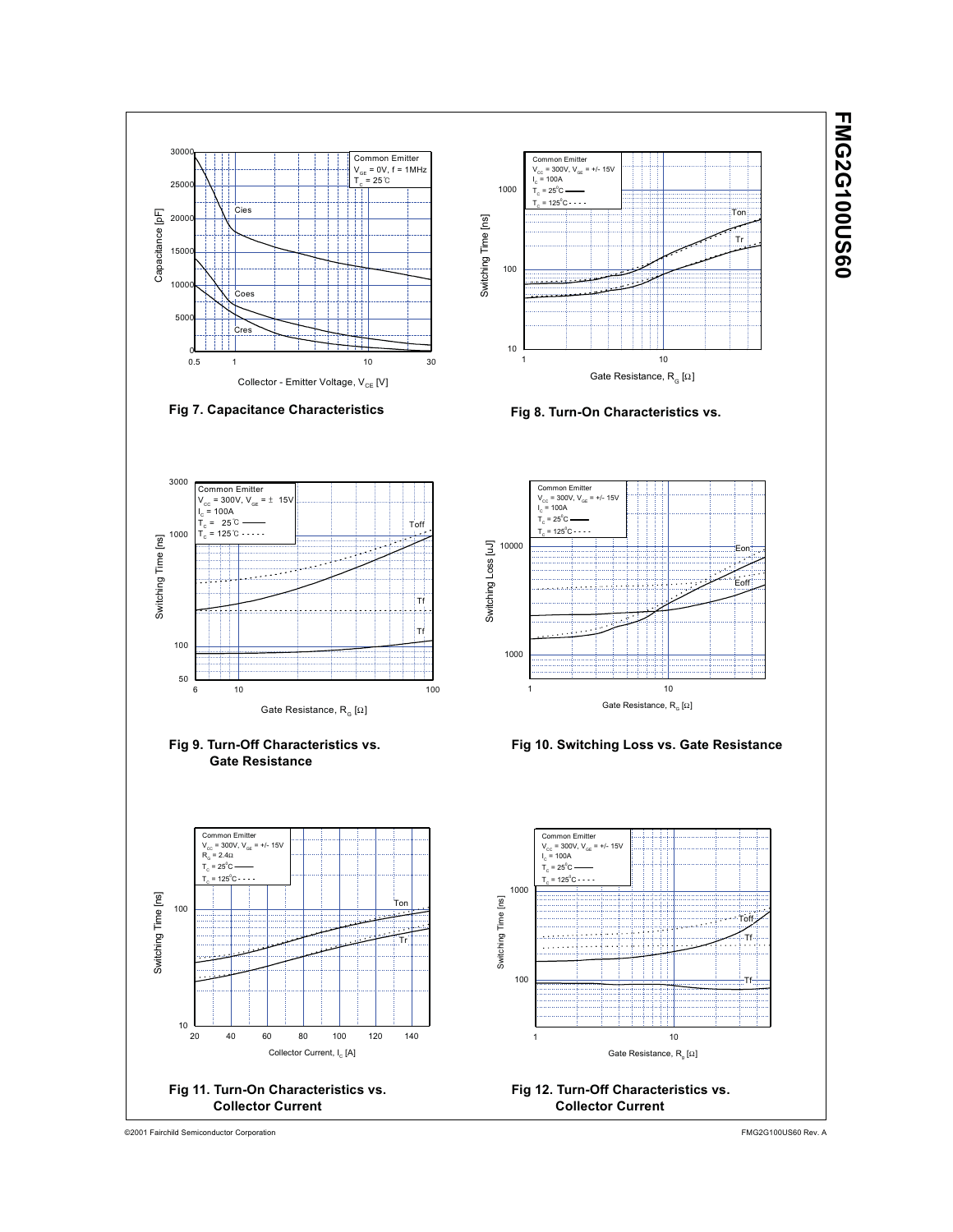3000 Common Emitter Common Emitter  $V_{GE} = 0V, f = 1MHz$ V<sub>cc</sub> = 300V, V<sub>GE</sub> = +/- 15V<br>I<sub>c</sub> = 100A  $= 25^{\circ}$ C 25000 1000  $T_c$  = 25 $^{\circ}$ C  $T_c$  = 125 $^{\circ}$ C :<br>ies Capacitance [pF] .....<br>Tor Capacitance [pF] 200C Switching Time [ns] Switching Time [ns] Tr T 15000 100 1000 Coes 5000 Cres 10  $0.5$ 1 10 0.5 1 10 30 Gate Resistance,  $\mathsf{R}_{_{\mathrm{G}}}[\Omega]$ Collector - Emitter Voltage, V<sub>CE</sub> [V] **Fig 7. Capacitance Characteristics Fig 8. Turn-On Characteristics vs.**  3000 Common Emitter Common Emitter<br>V<sub>cc</sub> = 300V, V<sub>GE</sub> = +/- 15V<br>I<sub>c</sub> = 100A  $V_{\text{cc}} = 300V$ ,  $V_{\text{GE}} = \pm 15V$ <br>  $I_{\text{c}} = 100A$  $= 100A$  $\bar{T_c}$  = 25  $\degree$  $T_c$  = 25 $^{\circ}$ C To 1000  $= 125$   $\circ$   $\cdots$  $T_c$  = 125 $^{\circ}$ C Switching Time [ns] 10000<br>Switching Loss [Ju] Switching Time [ns] Switching Loss [uJ] Eon  $\ddotsc$ Eoff Tf Tf 100 1000 50 6 10 100 1 10 Gate Resistance,  $\mathsf{R}_{_\mathsf{G}}\left[\Omega\right]$ Gate Resistance,  $R_{\alpha}$  [Ω] **Fig 9. Turn-Off Characteristics vs. Fig 10. Switching Loss vs. Gate Resistance Gate Resistance** Common Emitter<br>V<sub>cc</sub> = 300V, V<sub>GE</sub> = +/- 15V<br>R<sub>G</sub> = 2.4Ω Common Emitter<br>V<sub>cc</sub> = 300V, V<sub>GE</sub> = +/- 15V<br>I<sub>c</sub> = 100A  $T_c$  = 25 $^{\circ}$ C  $T_c$  = 25 $^{\circ}$ C  $T_c$  = 125 $^{\circ}$ C  $T_c$  = 125 $^{\circ}$ C 1000 Switching Time [ns] Switching Time [ns] Switching Time [ns] **Tor** Switching Time [ns] 100 Toff Tr Tf 100 Tf  $10\frac{L}{20}$ 20 40 60 80 100 120 140 1 10 Collector Current, I<sub>c</sub> [A] Gate Resistance, R<sub>g</sub> [Ω] **Fig 11. Turn-On Characteristics vs. Fig 12. Turn-Off Characteristics vs. Collector Current Collector Current**

©2001 Fairchild Semiconductor Corporation FMG2G100US60 Rev. A

**FMG2G100US60**

**FMG2G100US60**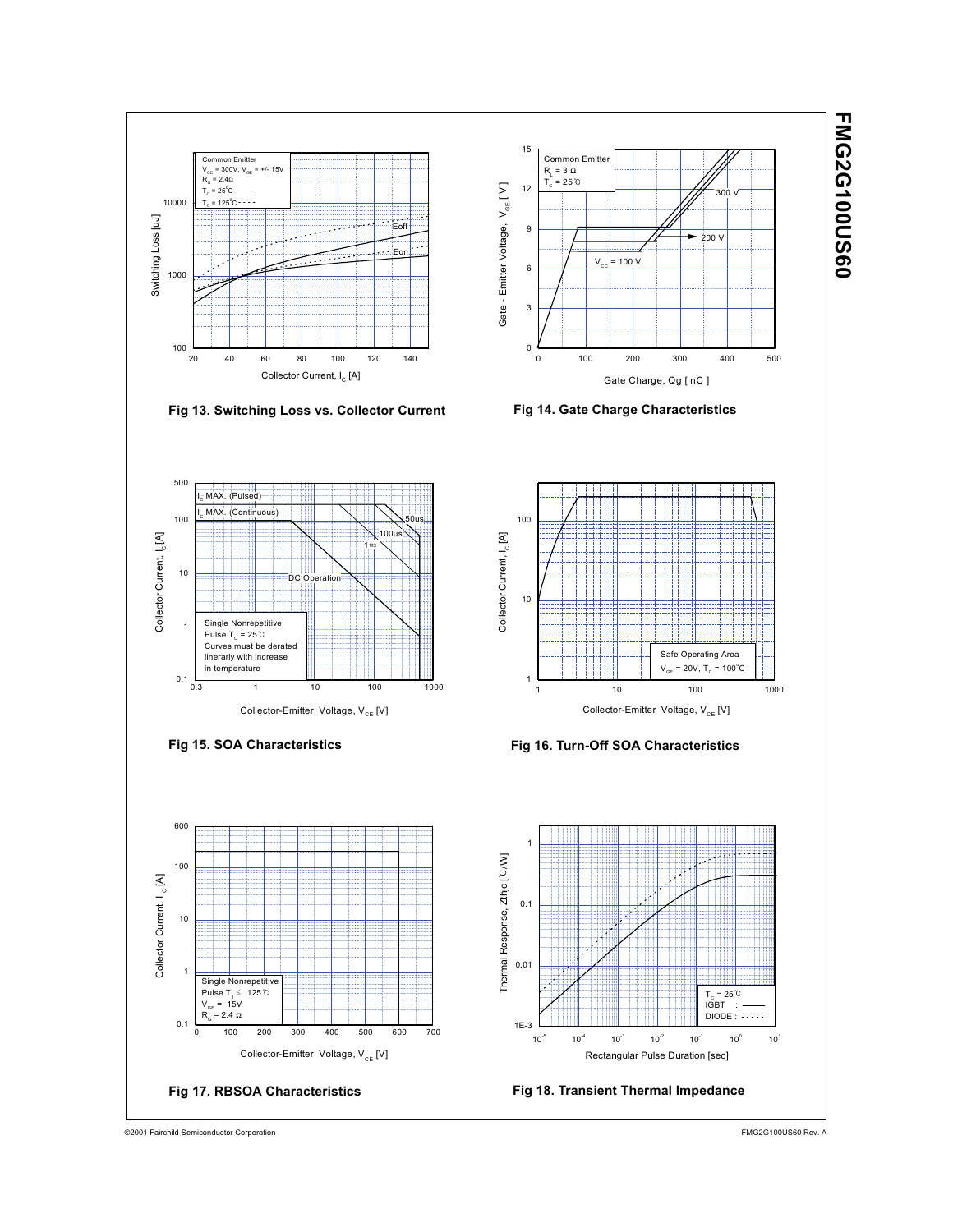

©2001 Fairchild Semiconductor Corporation FMG2G100US60 Rev. A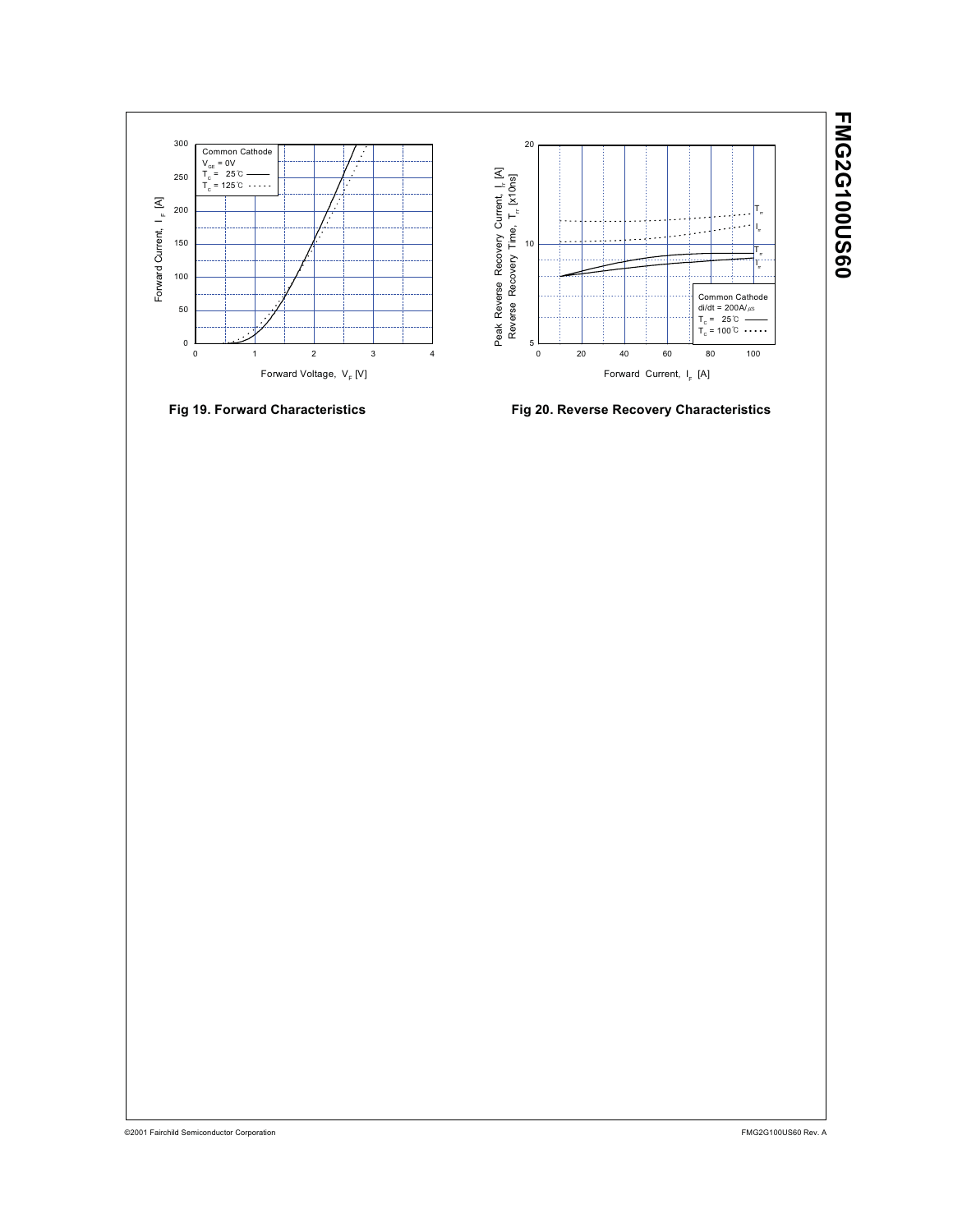





**Fig 19. Forward Characteristics Fig 20. Reverse Recovery Characteristics**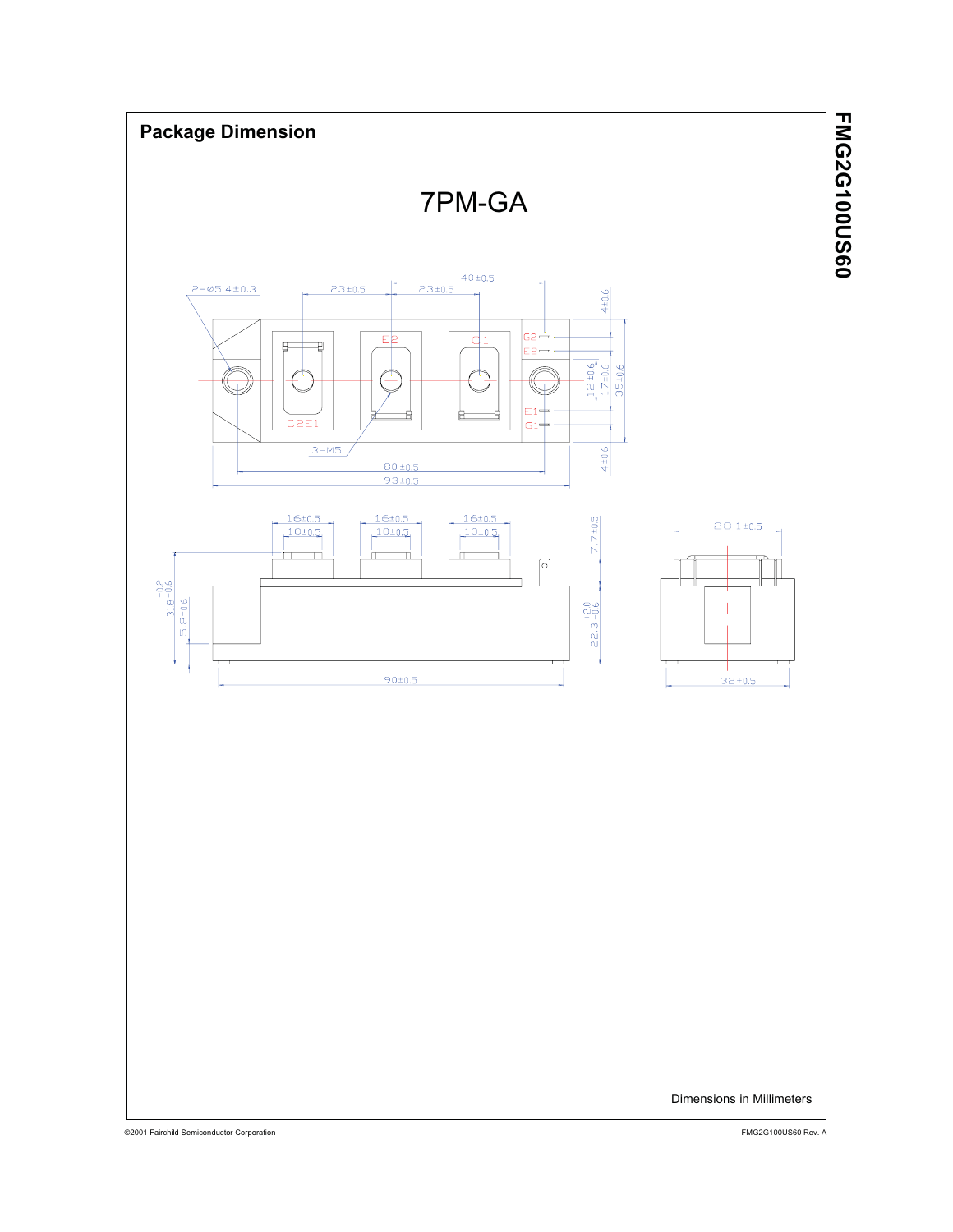